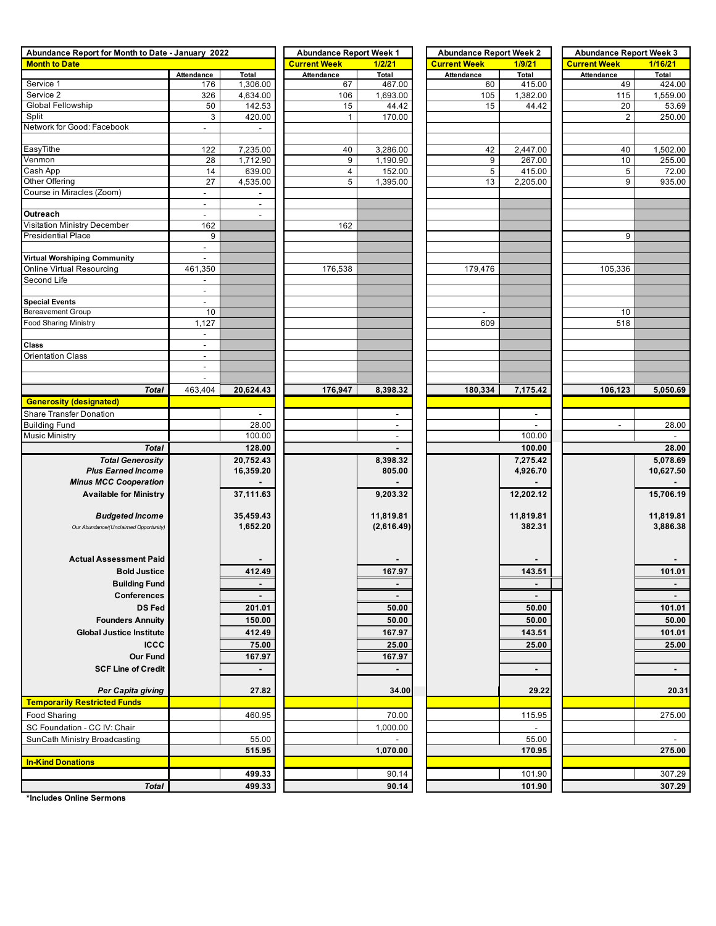| Abundance Report for Month to Date - January 2022 | <b>Abundance Report Week 1</b> |                          | <b>Abundance Report Week 2</b> |                      | <b>Abundance Report Week 3</b> |                          |                          |                    |
|---------------------------------------------------|--------------------------------|--------------------------|--------------------------------|----------------------|--------------------------------|--------------------------|--------------------------|--------------------|
| <b>Month to Date</b>                              |                                |                          | <b>Current Week</b>            | 1/2/21               | <b>Current Week</b>            | 1/9/21                   | <b>Current Week</b>      | 1/16/21            |
|                                                   | Attendance                     | Total                    | Attendance                     | Total                | Attendance                     | Total                    | Attendance               | Total              |
| Service 1                                         | 176                            | 1,306.00                 | 67                             | 467.00               | 60                             | 415.00                   | 49                       | 424.00             |
| Service 2                                         | 326                            | 4,634.00                 | 106                            | 1,693.00             | 105                            | 1,382.00                 | 115                      | 1,559.00           |
| Global Fellowship                                 | 50                             | 142.53                   | 15                             | 44.42                | 15                             | 44.42                    | 20                       | 53.69              |
| Split                                             | 3                              | 420.00                   | $\mathbf{1}$                   | 170.00               |                                |                          | 2                        | 250.00             |
| Network for Good: Facebook                        | $\blacksquare$                 | $\blacksquare$           |                                |                      |                                |                          |                          |                    |
| EasyTithe                                         |                                |                          |                                |                      |                                |                          | 40                       |                    |
| Venmon                                            | 122<br>28                      | 7,235.00<br>1,712.90     | 40<br>9                        | 3,286.00<br>1,190.90 | 42<br>9                        | 2,447.00<br>267.00       | 10                       | 1,502.00<br>255.00 |
| Cash App                                          | 14                             | 639.00                   | 4                              | 152.00               | 5                              | 415.00                   | 5                        | 72.00              |
| Other Offering                                    | 27                             | 4,535.00                 | 5                              | 1,395.00             | 13                             | 2,205.00                 | 9                        | 935.00             |
| Course in Miracles (Zoom)                         | $\blacksquare$                 |                          |                                |                      |                                |                          |                          |                    |
|                                                   | $\overline{\phantom{a}}$       | $\overline{\phantom{a}}$ |                                |                      |                                |                          |                          |                    |
| Outreach                                          | $\overline{\phantom{a}}$       | $\overline{\phantom{a}}$ |                                |                      |                                |                          |                          |                    |
| Visitation Ministry December                      | 162                            |                          | 162                            |                      |                                |                          |                          |                    |
| <b>Presidential Place</b>                         | 9                              |                          |                                |                      |                                |                          | 9                        |                    |
|                                                   | $\overline{\phantom{a}}$       |                          |                                |                      |                                |                          |                          |                    |
| Virtual Worshiping Community                      | $\overline{\phantom{a}}$       |                          |                                |                      |                                |                          |                          |                    |
| Online Virtual Resourcing                         | 461,350                        |                          | 176,538                        |                      | 179,476                        |                          | 105,336                  |                    |
| Second Life                                       |                                |                          |                                |                      |                                |                          |                          |                    |
|                                                   |                                |                          |                                |                      |                                |                          |                          |                    |
| <b>Special Events</b>                             | $\overline{\phantom{a}}$       |                          |                                |                      |                                |                          |                          |                    |
| <b>Bereavement Group</b>                          | 10                             |                          |                                |                      |                                |                          | 10                       |                    |
| <b>Food Sharing Ministry</b>                      | 1,127                          |                          |                                |                      | 609                            |                          | 518                      |                    |
|                                                   | $\blacksquare$                 |                          |                                |                      |                                |                          |                          |                    |
| Class                                             | $\blacksquare$                 |                          |                                |                      |                                |                          |                          |                    |
| <b>Orientation Class</b>                          | $\overline{\phantom{a}}$       |                          |                                |                      |                                |                          |                          |                    |
|                                                   | $\overline{\phantom{a}}$       |                          |                                |                      |                                |                          |                          |                    |
|                                                   | $\overline{\phantom{a}}$       |                          |                                |                      |                                |                          |                          |                    |
| <b>Total</b>                                      | 463,404                        | 20,624.43                | 176,947                        | 8,398.32             | 180,334                        | 7,175.42                 | 106,123                  | 5,050.69           |
| <b>Generosity (designated)</b>                    |                                |                          |                                |                      |                                |                          |                          |                    |
| Share Transfer Donation                           |                                |                          |                                | $\sim$               |                                | $\overline{\phantom{a}}$ |                          |                    |
| <b>Building Fund</b>                              |                                | 28.00                    |                                | $\sim$               |                                |                          | $\overline{\phantom{a}}$ | 28.00              |
| <b>Music Ministry</b>                             |                                | 100.00                   |                                | $\sim$               |                                | 100.00                   |                          |                    |
| <b>Total</b>                                      |                                | 128.00                   |                                |                      |                                | 100.00                   |                          | 28.00              |
| <b>Total Generosity</b>                           |                                | 20,752.43                |                                | 8,398.32             |                                | 7,275.42                 |                          | 5,078.69           |
| <b>Plus Earned Income</b>                         |                                | 16,359.20                |                                | 805.00               |                                | 4,926.70                 |                          | 10,627.50          |
| <b>Minus MCC Cooperation</b>                      |                                |                          |                                |                      |                                |                          |                          |                    |
| <b>Available for Ministry</b>                     |                                | 37,111.63                |                                | 9,203.32             |                                | 12,202.12                |                          | 15,706.19          |
|                                                   |                                |                          |                                |                      |                                |                          |                          |                    |
| <b>Budgeted Income</b>                            |                                | 35,459.43                |                                | 11,819.81            |                                | 11,819.81                |                          | 11,819.81          |
| Our Abundance/(Unclaimed Opportunity)             |                                | 1,652.20                 |                                | (2,616.49)           |                                | 382.31                   |                          | 3,886.38           |
|                                                   |                                |                          |                                |                      |                                |                          |                          |                    |
|                                                   |                                |                          |                                |                      |                                |                          |                          |                    |
| <b>Actual Assessment Paid</b>                     |                                |                          |                                |                      |                                |                          |                          |                    |
| <b>Bold Justice</b>                               |                                | 412.49                   |                                | 167.97               |                                | 143.51                   |                          | 101.01             |
| <b>Building Fund</b>                              |                                | $\blacksquare$           |                                | $\blacksquare$       |                                | $\blacksquare$           |                          | $\blacksquare$     |
| Conferences                                       |                                |                          |                                |                      |                                | $\blacksquare$           |                          | $\sim$             |
| <b>DS Fed</b>                                     |                                | 201.01                   |                                | 50.00                |                                | 50.00                    |                          | 101.01             |
| <b>Founders Annuity</b>                           |                                | 150.00                   |                                | 50.00                |                                | 50.00                    |                          | 50.00              |
| <b>Global Justice Institute</b>                   |                                | 412.49                   |                                | 167.97               |                                | 143.51                   |                          | 101.01             |
| <b>ICCC</b>                                       |                                | 75.00                    |                                | 25.00                |                                | 25.00                    |                          | 25.00              |
| <b>Our Fund</b>                                   |                                | 167.97                   |                                | 167.97               |                                |                          |                          |                    |
| <b>SCF Line of Credit</b>                         |                                |                          |                                |                      |                                |                          |                          |                    |
|                                                   |                                |                          |                                |                      |                                | $\blacksquare$           |                          |                    |
| Per Capita giving                                 |                                | 27.82                    |                                | 34.00                |                                | 29.22                    |                          | 20.31              |
| <b>Temporarily Restricted Funds</b>               |                                |                          |                                |                      |                                |                          |                          |                    |
|                                                   |                                |                          |                                |                      |                                |                          |                          |                    |
| <b>Food Sharing</b>                               |                                | 460.95                   |                                | 70.00                |                                | 115.95                   |                          | 275.00             |
| SC Foundation - CC IV: Chair                      |                                |                          |                                | 1,000.00             |                                | $\overline{\phantom{a}}$ |                          |                    |
| SunCath Ministry Broadcasting                     |                                | 55.00                    |                                |                      |                                | 55.00                    |                          |                    |
|                                                   |                                | 515.95                   |                                | 1,070.00             |                                | 170.95                   |                          | 275.00             |
| <b>In-Kind Donations</b>                          |                                |                          |                                |                      |                                |                          |                          |                    |
|                                                   |                                | 499.33                   |                                | 90.14                |                                | 101.90                   |                          | 307.29             |
| <b>Total</b>                                      |                                | 499.33                   |                                | 90.14                |                                | 101.90                   |                          | 307.29             |

**\*Includes Online Sermons**